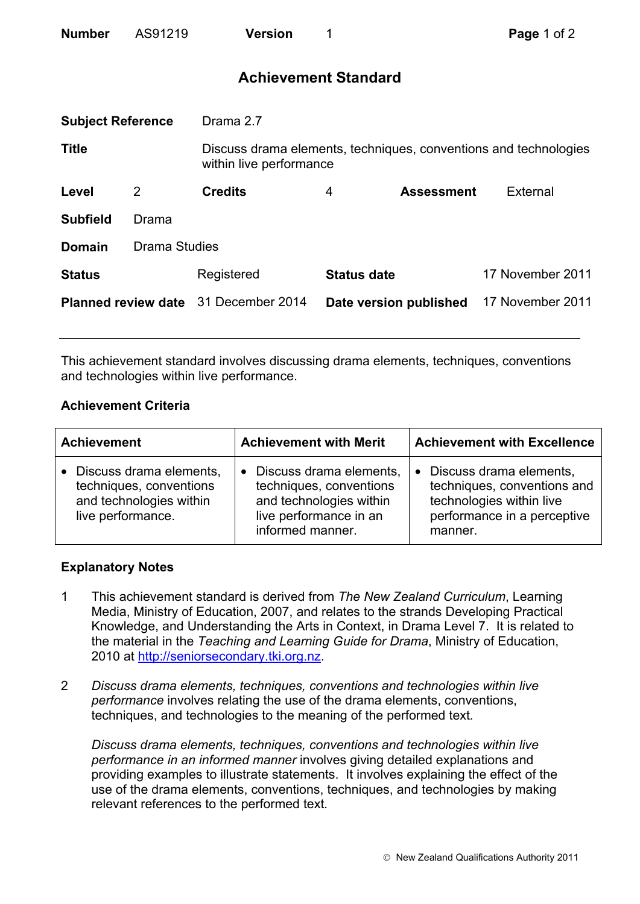| <b>Number</b> | AS91219 | <b>Version</b> |
|---------------|---------|----------------|
|               |         |                |

# **Achievement Standard**

| <b>Subject Reference</b>   |                      | Drama 2.7                                                                                   |                    |                        |                  |
|----------------------------|----------------------|---------------------------------------------------------------------------------------------|--------------------|------------------------|------------------|
| <b>Title</b>               |                      | Discuss drama elements, techniques, conventions and technologies<br>within live performance |                    |                        |                  |
| Level                      | 2                    | <b>Credits</b>                                                                              | 4                  | <b>Assessment</b>      | External         |
| <b>Subfield</b>            | Drama                |                                                                                             |                    |                        |                  |
| <b>Domain</b>              | <b>Drama Studies</b> |                                                                                             |                    |                        |                  |
| <b>Status</b>              |                      | Registered                                                                                  | <b>Status date</b> |                        | 17 November 2011 |
| <b>Planned review date</b> |                      | 31 December 2014                                                                            |                    | Date version published | 17 November 2011 |
|                            |                      |                                                                                             |                    |                        |                  |

This achievement standard involves discussing drama elements, techniques, conventions and technologies within live performance.

## **Achievement Criteria**

| <b>Achievement</b>                                                                                              | <b>Achievement with Merit</b>                                                                                                            | <b>Achievement with Excellence</b>                                                                                                        |
|-----------------------------------------------------------------------------------------------------------------|------------------------------------------------------------------------------------------------------------------------------------------|-------------------------------------------------------------------------------------------------------------------------------------------|
| Discuss drama elements,<br>$\bullet$<br>techniques, conventions<br>and technologies within<br>live performance. | Discuss drama elements,<br>$\bullet$<br>techniques, conventions<br>and technologies within<br>live performance in an<br>informed manner. | Discuss drama elements,<br>$\bullet$<br>techniques, conventions and<br>technologies within live<br>performance in a perceptive<br>manner. |

### **Explanatory Notes**

- 1 This achievement standard is derived from *The New Zealand Curriculum*, Learning Media, Ministry of Education, 2007, and relates to the strands Developing Practical Knowledge, and Understanding the Arts in Context, in Drama Level 7. It is related to the material in the *Teaching and Learning Guide for Drama*, Ministry of Education, 2010 at http://seniorsecondary.tki.org.nz.
- 2 *Discuss drama elements, techniques, conventions and technologies within live performance* involves relating the use of the drama elements, conventions, techniques, and technologies to the meaning of the performed text*.*

*Discuss drama elements, techniques, conventions and technologies within live performance in an informed manner* involves giving detailed explanations and providing examples to illustrate statements. It involves explaining the effect of the use of the drama elements, conventions, techniques, and technologies by making relevant references to the performed text*.*